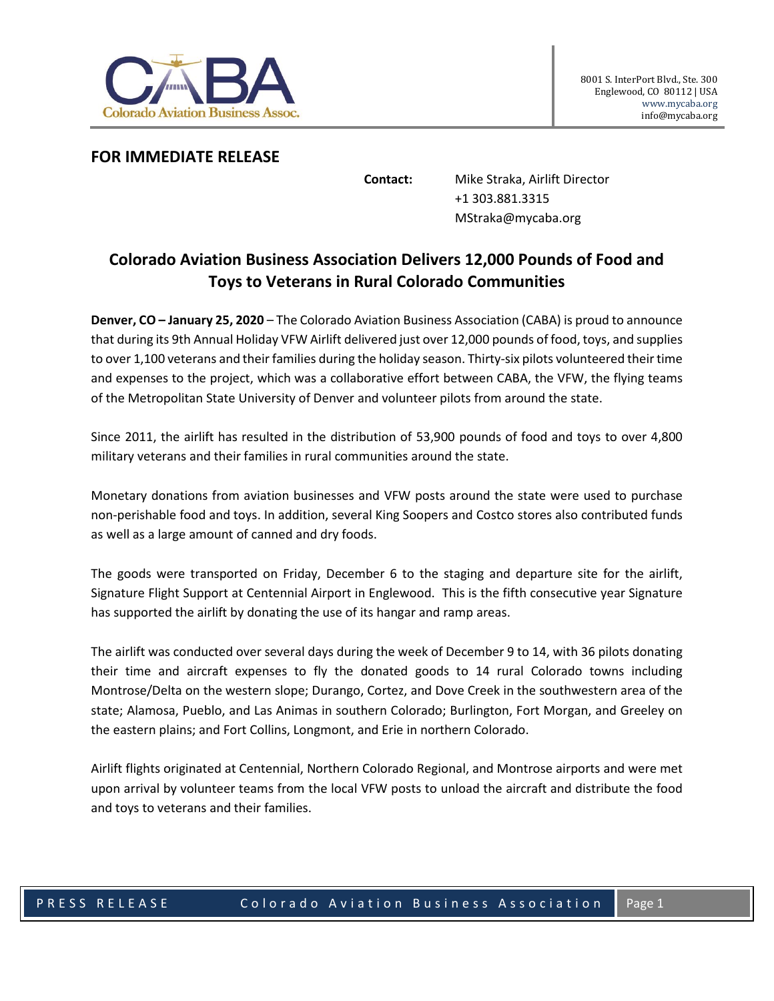

## **FOR IMMEDIATE RELEASE**

**Contact:** Mike Straka, Airlift Director +1 303.881.3315 MStraka@mycaba.org

## **Colorado Aviation Business Association Delivers 12,000 Pounds of Food and Toys to Veterans in Rural Colorado Communities**

**Denver, CO – January 25, 2020** – The Colorado Aviation Business Association (CABA) is proud to announce that during its 9th Annual Holiday VFW Airlift delivered just over 12,000 pounds of food, toys, and supplies to over 1,100 veterans and their families during the holiday season. Thirty-six pilots volunteered their time and expenses to the project, which was a collaborative effort between CABA, the VFW, the flying teams of the Metropolitan State University of Denver and volunteer pilots from around the state.

Since 2011, the airlift has resulted in the distribution of 53,900 pounds of food and toys to over 4,800 military veterans and their families in rural communities around the state.

Monetary donations from aviation businesses and VFW posts around the state were used to purchase non-perishable food and toys. In addition, several King Soopers and Costco stores also contributed funds as well as a large amount of canned and dry foods.

The goods were transported on Friday, December 6 to the staging and departure site for the airlift, Signature Flight Support at Centennial Airport in Englewood. This is the fifth consecutive year Signature has supported the airlift by donating the use of its hangar and ramp areas.

The airlift was conducted over several days during the week of December 9 to 14, with 36 pilots donating their time and aircraft expenses to fly the donated goods to 14 rural Colorado towns including Montrose/Delta on the western slope; Durango, Cortez, and Dove Creek in the southwestern area of the state; Alamosa, Pueblo, and Las Animas in southern Colorado; Burlington, Fort Morgan, and Greeley on the eastern plains; and Fort Collins, Longmont, and Erie in northern Colorado.

Airlift flights originated at Centennial, Northern Colorado Regional, and Montrose airports and were met upon arrival by volunteer teams from the local VFW posts to unload the aircraft and distribute the food and toys to veterans and their families.